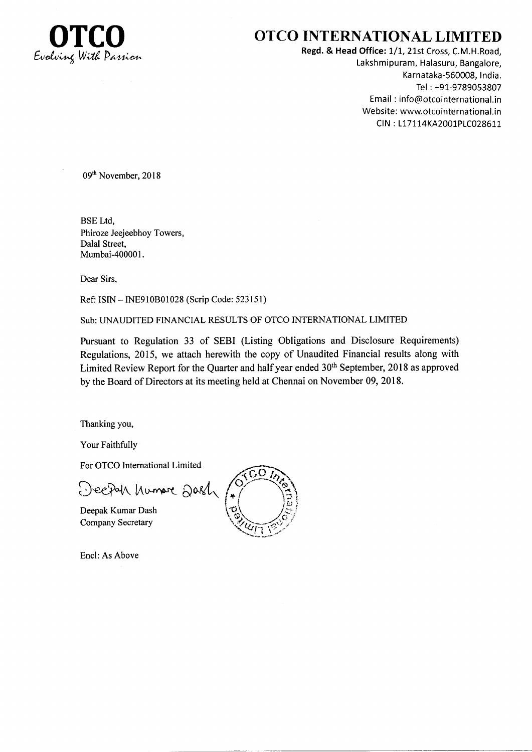

# OTCO INTERNATIONAL LIMITED

Regd. & Head Office: 1/1, 21st Cross, C.M.H.Road, Lakshmipuram, Halasuru, Bangalore, Karnataka-560008, India. Tel : +91-9789053807 Email : info@otcointernational.in Website: www.otcointernational.in CIN: L17114KA2001PLC028611

09<sup>th</sup> November, 2018

BSE Ltd, Phiroze Jeejeebhoy Towers, Dalal Street, Mumbai-400001.

Dear Sirs,

Ref: ISIN - INE9l0B01028 (Scrip Code: 523 l5 1)

Sub:UNAUDITED FINANCIAL RESULTS OF OTCO INTERNATIONAL LIMITED

Pursuant to Regulation 33 of SEBI (Listing Obligations and Disclosure Requirements) Regulations, 2015, we attach herewith the copy of Unaudited Financial results along with Limited Review Report for the Quarter and half year ended  $30<sup>th</sup>$  September, 2018 as approved by the Board of Directors at its meeting held at Chennai on November 09, 2018.

Thanking you,

Your Faithfully

For OTCO International Limited

Deepah humore Dash

Deepak Kumar Dash Company Secretary



Encl: As Above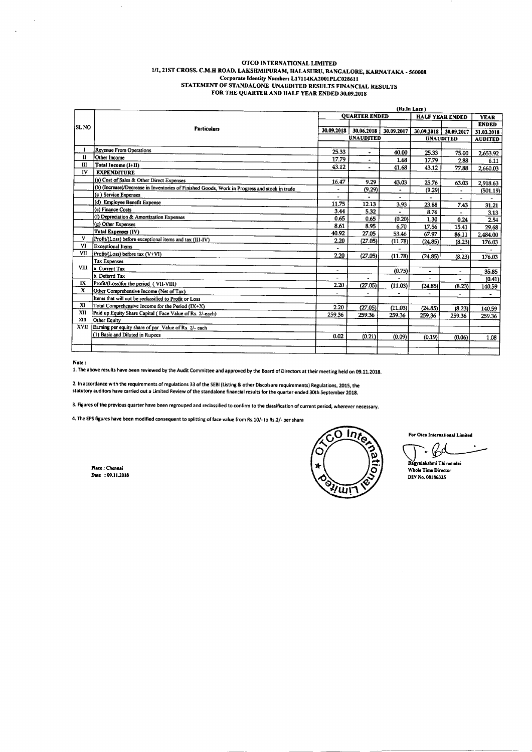#### OTCO INTERNATIONAL LIMITED 1/1, 21ST CROSS. C.M.H ROAD, LAKSHMIPURAM, HALASURU, BANGALORE, KARNATAKA - 560008 Corporate Identity Number: L17114KA2001PLC028611 STATEMENT OF STANDALONE UNAUDITED RESULTS FINANCIAL RESULTS FOR THE QUARTER AND HALF YEAR ENDED 30,09,2018

|             |                                                                                               | (Rs.In Lacs)             |                          |                          |                        |                |              |
|-------------|-----------------------------------------------------------------------------------------------|--------------------------|--------------------------|--------------------------|------------------------|----------------|--------------|
| ISL NO      | <b>Particulars</b>                                                                            | <b>OUARTER ENDED</b>     |                          |                          | <b>HALF YEAR ENDED</b> |                | <b>YEAR</b>  |
|             |                                                                                               |                          |                          |                          |                        |                | <b>ENDED</b> |
|             |                                                                                               | 30.09.2018               | 30.06.2018               | 30.09.2017               | 30.09.2018             | 30.09.2017     | 31.03.2018   |
|             |                                                                                               | <b>UNAUDITED</b>         |                          | <b>UNAUDITED</b>         |                        | <b>AUDITED</b> |              |
|             |                                                                                               |                          |                          |                          |                        |                |              |
| п           | Revenue From Operations<br>Other Income                                                       | 25.33                    | $\overline{\phantom{a}}$ | 40.00                    | 25.33                  | 75.00          | 2,653.92     |
| Ш           |                                                                                               | 17.79                    |                          | 1.68                     | 17.79                  | 2.88           | 6.11         |
|             | Total Income (I+II)                                                                           | 43.12                    | $\blacksquare$           | 41.68                    | 43.12                  | 77.88          | 2,660.03     |
| IV          | <b>EXPENDITURE</b>                                                                            |                          |                          |                          |                        |                |              |
|             | (a) Cost of Sales & Other Direct Expenses                                                     | 16.47                    | 9.29                     | 43.03                    | 25.76                  | 63.03          | 2,918.63     |
|             | (b) (Increase)/Decrease in Inventories of Finished Goods, Work in Progress and stock in trade | ٠                        | (9.29)                   |                          | (9.29)                 | $\cdot$        | (501.19)     |
|             | (c) Service Expenses                                                                          |                          |                          | $\overline{\phantom{a}}$ |                        |                |              |
|             | (d) Employee Benefit Expense                                                                  | 11.75                    | 12.13                    | 3.93                     | 23.88                  | 7.43           | 31.21        |
|             | (e) Finance Costs                                                                             | 3.44                     | 5.32                     |                          | 8.76                   |                | 3.13         |
|             | (f) Depreciation & Amortization Expenses                                                      | 0.65                     | 0.65                     | (0.20)                   | 1.30                   | 0.24           | 2.54         |
|             | (g) Other Expenses                                                                            | 8.61                     | 8.95                     | 6.70                     | 17.56                  | 15.41          | 29.68        |
|             | <b>Total Expenses (IV)</b>                                                                    | 40.92                    | 27.05                    | 53.46                    | 67.97                  | 86.11          | 2,484.00     |
| V           | Profit/(Loss) before exceptional items and tax (III-IV)                                       | 2.20                     | (27.05)                  | (11.78)                  | (24.85)                | (8.23)         | 176.03       |
| VI          | <b>Exceptional Items</b>                                                                      |                          |                          |                          |                        |                |              |
| VII         | Profit/(Loss) before tax (V+VI)                                                               | 2.20                     | (27.05)                  | (11.78)                  | (24.85)                | (8.23)         | 176.03       |
|             | <b>Tax Expenses</b>                                                                           |                          |                          |                          |                        |                |              |
| <b>VIII</b> | a. Current Tax                                                                                | $\overline{\phantom{0}}$ | $\overline{\phantom{a}}$ | (0.75)                   | $\blacksquare$         | $\blacksquare$ | 35.85        |
|             | b. Deferrd Tax                                                                                | $\blacksquare$           |                          |                          | $\overline{a}$         |                | (0.41)       |
| IX          | Profit/(Loss)for the period (VII-VIII)                                                        | 2.20                     | (27.05)                  | (11.03)                  | (24.85)                | (8.23)         |              |
| X           | Other Comprehensive Income (Net of Tax)                                                       |                          |                          | $\overline{a}$           |                        |                | 140.59       |
|             | Items that will not be reclassified to Profit or Loss                                         |                          |                          |                          | ۰                      | $\blacksquare$ |              |
| XI          | Total Comprehensive Income for the Period (IX+X)                                              | 2.20                     | (27.05)                  | (11.03)                  | (24.85)                |                |              |
| XII         | Paid up Equity Share Capital (Face Value of Rs. 2/-each)                                      | 259.36                   | 259.36                   | 259.36                   |                        | (8.23)         | 140.59       |
| XIII        | Other Equity                                                                                  |                          |                          |                          | 259.36                 | 259.36         | 259.36       |
| <b>XVII</b> | Earning per equity share of par Value of Rs. 2/- each                                         |                          |                          |                          |                        |                |              |
|             | (1) Basic and Diluted in Rupees                                                               | 0.02                     |                          |                          |                        |                |              |
|             |                                                                                               |                          | (0.21)                   | (0.09)                   | (0.19)                 | (0.06)         | 1.08         |
|             |                                                                                               |                          |                          |                          |                        |                |              |
|             |                                                                                               |                          |                          |                          |                        |                |              |

Note :<br>1. The above results have been reviewed by the Audit Committee and approved by the Board of Directors at their meeting held on 09.11.2018.

2. In accordance with the requirements of regulations 33 of the SEBI (Listing & other Discolsure requirements) Regulations, 2015, the<br>Statutory auditors have carried out a Limited Review of the standalone financial results

3. Figures of the previous quarter have been regrouped and reclassified to confirm to the classification of current period, wherever necessary.

4. The EPS figures have been modified consequent to splitting of face value from Rs.10/- to Rs.2/- per share

Place : Chennai Date: 09.11.2018



For Otco International Limited

 $\mathcal{B}^d$ 

Bagyalakshmi Thirumalai Whole Time Director DIN No. 08186335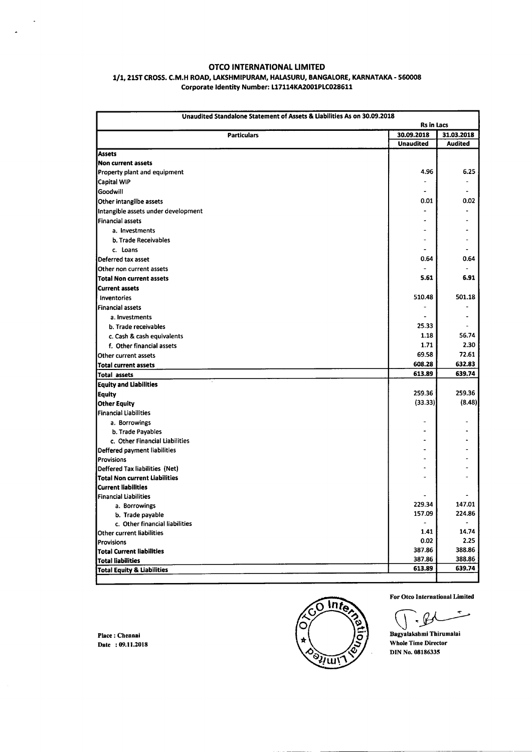## OTCO INTERNATIONAL LIMITED

### 1/1, 21ST CROSS. C.M.H ROAD, LAKSHMIPURAM, HALASURU, BANGALORE, KARNATAKA - 560008 Corporate Identity Number: L17114KA2001PLC028611

| Unaudited Standalone Statement of Assets & Liabilities As on 30.09.2018<br><b>Rs in Lacs</b> |                  |                  |  |  |
|----------------------------------------------------------------------------------------------|------------------|------------------|--|--|
| <b>Particulars</b>                                                                           | 30.09.2018       | 31.03.2018       |  |  |
|                                                                                              | <b>Unaudited</b> | <b>Audited</b>   |  |  |
| Assets                                                                                       |                  |                  |  |  |
| <b>Non current assets</b>                                                                    |                  |                  |  |  |
| Property plant and equipment                                                                 | 4.96             | 6.25             |  |  |
| Capital WIP                                                                                  |                  |                  |  |  |
| Goodwill                                                                                     |                  |                  |  |  |
| Other intangilbe assets                                                                      | 0.01             | 0.02             |  |  |
| Intangible assets under development                                                          |                  |                  |  |  |
| <b>Financial assets</b>                                                                      |                  |                  |  |  |
| a. Investments                                                                               |                  |                  |  |  |
| b. Trade Receivables                                                                         |                  |                  |  |  |
| c. Loans                                                                                     |                  |                  |  |  |
| Deferred tax asset                                                                           | 0.64             | 0.64             |  |  |
| Other non current assets                                                                     |                  |                  |  |  |
| <b>Total Non current assets</b>                                                              | 5.61             | 6.91             |  |  |
| <b>Current assets</b>                                                                        |                  |                  |  |  |
| Inventories                                                                                  | 510.48           | 501.18           |  |  |
| <b>Financial assets</b>                                                                      |                  |                  |  |  |
| a. Investments                                                                               | $\blacksquare$   |                  |  |  |
| b. Trade receivables                                                                         | 25.33            |                  |  |  |
| c. Cash & cash equivalents                                                                   | 1.18             | 56.74            |  |  |
| f. Other financial assets                                                                    | 1.71             | 2.30             |  |  |
| Other current assets                                                                         | 69.58            | 72.61            |  |  |
| <b>Total current assets</b>                                                                  | 608.28           | 632.83           |  |  |
| Total assets                                                                                 | 613.89           | 639.74           |  |  |
| <b>Equity and Liabilities</b>                                                                |                  |                  |  |  |
| <b>Equity</b>                                                                                | 259.36           | 259.36           |  |  |
| <b>Other Equity</b>                                                                          | (33.33)          | (8.48)           |  |  |
| Financial Liabilities                                                                        |                  |                  |  |  |
| a. Borrowings                                                                                |                  |                  |  |  |
| b. Trade Payables                                                                            |                  |                  |  |  |
| c. Other Financial Liabilities                                                               |                  |                  |  |  |
| Deffered payment liabilities                                                                 |                  |                  |  |  |
| Provisions                                                                                   |                  |                  |  |  |
| Deffered Tax liabilities (Net)                                                               | ٠                |                  |  |  |
| Total Non current Liabilities                                                                |                  |                  |  |  |
| Current liabilities                                                                          |                  |                  |  |  |
| <b>Financial Liabilities</b>                                                                 |                  |                  |  |  |
| a. Borrowings                                                                                | 229.34           | 147.01           |  |  |
| b. Trade payable                                                                             | 157.09           | 224.86           |  |  |
| c. Other financial liabilities                                                               |                  |                  |  |  |
| Other current liabilities                                                                    | 1.41             | 14.74            |  |  |
| Provisions                                                                                   | 0.02             | 2.25             |  |  |
| <b>Total Current liabilities</b>                                                             | 387.86           | 388.86           |  |  |
| <b>Total liabilities</b>                                                                     | 387.86           | 388.86<br>639.74 |  |  |
| 613.89<br><b>Total Equity &amp; Liabilities</b>                                              |                  |                  |  |  |

Place: Chennai Date: 09.11.2018

 $\overline{a}$ 



For Otco International Limited

For Otco International Li<br>
Bagyalakshmi Thirumala  $\mathcal{L}$ 

Whole Time Director DIN No.08186335